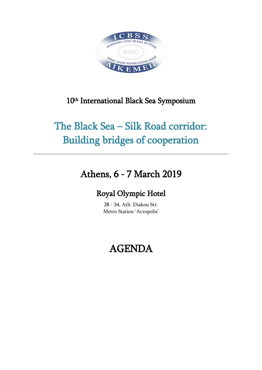

#### 10<sup>th</sup> International Black Sea Symposium

# The Black Sea – Silk Road corridor: Building bridges of cooperation

### Athens, 6 - 7 March 2019

### Royal Olympic Hotel

28 - 34, Ath. Diakou Str. Metro Station 'Acropolis'

## AGENDA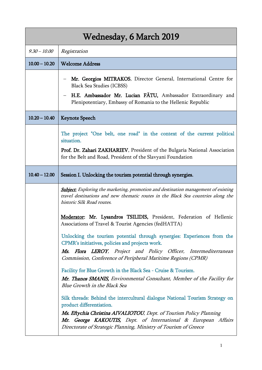| Wednesday, 6 March 2019 |                                                                                                                                                                                                                                                                                                                       |  |
|-------------------------|-----------------------------------------------------------------------------------------------------------------------------------------------------------------------------------------------------------------------------------------------------------------------------------------------------------------------|--|
| $9.30 - 10.00$          | Registration                                                                                                                                                                                                                                                                                                          |  |
| $10.00 - 10.20$         | <b>Welcome Address</b>                                                                                                                                                                                                                                                                                                |  |
|                         | Mr. Georgios MITRAKOS, Director General, International Centre for<br><b>Black Sea Studies (ICBSS)</b><br>H.E. Ambassador Mr. Lucian FATU, Ambassador Extraordinary and<br>Plenipotentiary, Embassy of Romania to the Hellenic Republic                                                                                |  |
| $10.20 - 10.40$         | <b>Keynote Speech</b>                                                                                                                                                                                                                                                                                                 |  |
|                         | The project "One belt, one road" in the context of the current political<br>situation.<br>Prof. Dr. Zahari ZAKHARIEV, President of the Bulgaria National Association<br>for the Belt and Road, President of the Slavyani Foundation                                                                                   |  |
| $10.40 - 12.00$         | Session I. Unlocking the tourism potential through synergies.                                                                                                                                                                                                                                                         |  |
|                         | <b>Subject:</b> Exploring the marketing, promotion and destination management of existing<br>travel destinations and new thematic routes in the Black Sea countries along the<br>historic Silk Road routes.                                                                                                           |  |
|                         | Moderator: Mr. Lysandros TSILIDIS, President, Federation of Hellenic<br>Associations of Travel & Tourist Agencies (fedHATTA)                                                                                                                                                                                          |  |
|                         | Unlocking the tourism potential through synergies: Experiences from the<br>CPMR's initiatives, policies and projects work.                                                                                                                                                                                            |  |
|                         | Flora LEROY, Project and Policy Officer, Intermediterranean<br>Ms.<br>Commission, Conference of Peripheral Maritime Regions (CPMR)                                                                                                                                                                                    |  |
|                         | Facility for Blue Growth in the Black Sea - Cruise & Tourism.                                                                                                                                                                                                                                                         |  |
|                         | Mr. Thanos SMANIS, Environmental Consultant, Member of the Facility for<br>Blue Growth in the Black Sea                                                                                                                                                                                                               |  |
|                         | Silk threads: Behind the intercultural dialogue National Tourism Strategy on<br>product differentiation.<br>Ms. Eftychia Christina AIVALIOTOU, Dept. of Tourism Policy Planning<br>Mr. George KAKOUTIS, Dept. of International & European Affairs<br>Directorate of Strategic Planning, Ministry of Tourism of Greece |  |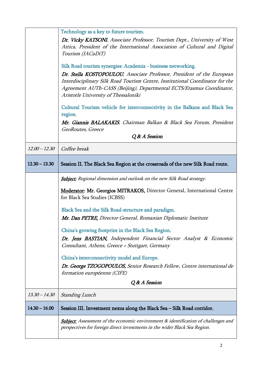|                 | Technology as a key to future tourism.                                                                                                                                                                                                                                   |
|-----------------|--------------------------------------------------------------------------------------------------------------------------------------------------------------------------------------------------------------------------------------------------------------------------|
|                 | Dr. Vicky KATSONI, Associate Professor, Tourism Dept., University of West<br>Attica, President of the International Association of Cultural and Digital<br>Tourism (IACuDiT)                                                                                             |
|                 | Silk Road tourism synergies: Academia - business networking.                                                                                                                                                                                                             |
|                 | Dr. Stella KOSTOPOULOU, Associate Professor, President of the European<br>Interdisciplinary Silk Road Tourism Centre, Institutional Coordinator for the<br>Agreement AUTh-CASS (Beijing), Departmental ECTS/Erasmus Coordinator,<br>Aristotle University of Thessaloniki |
|                 | Cultural Tourism vehicle for interconnectivity in the Balkans and Black Sea<br>region.                                                                                                                                                                                   |
|                 | Mr. Giannis BALAKAKIS, Chairman Balkan & Black Sea Forum, President                                                                                                                                                                                                      |
|                 | GeoRoutes, Greece<br>Q & A Session                                                                                                                                                                                                                                       |
| $12.00 - 12.30$ |                                                                                                                                                                                                                                                                          |
|                 | Coffee break                                                                                                                                                                                                                                                             |
| $12.30 - 13.30$ | Session II. The Black Sea Region at the crossroads of the new Silk Road route.                                                                                                                                                                                           |
|                 | <b>Subject:</b> Regional dimension and outlook on the new Silk Road strategy.                                                                                                                                                                                            |
|                 | Moderator: Mr. Georgios MITRAKOS, Director General, International Centre<br>for Black Sea Studies (ICBSS)                                                                                                                                                                |
|                 | Black Sea and the Silk Road-structure and paradigm.                                                                                                                                                                                                                      |
|                 | Mr. Dan PETRE, Director General, Romanian Diplomatic Institute                                                                                                                                                                                                           |
|                 | China's growing footprint in the Black Sea Region.                                                                                                                                                                                                                       |
|                 | Dr. Jens BASTIAN, Independent Financial Sector Analyst & Economic<br>Consultant, Athens, Greece + Stuttgart, Germany                                                                                                                                                     |
|                 | China's interconnectivity model and Europe.                                                                                                                                                                                                                              |
|                 | Dr. George TZOGOPOULOS, Senior Research Fellow, Centre international de                                                                                                                                                                                                  |
|                 | formation européenne (CIFE)                                                                                                                                                                                                                                              |
|                 | Q & A Session                                                                                                                                                                                                                                                            |
| $13.30 - 14.30$ | <b>Standing Lunch</b>                                                                                                                                                                                                                                                    |
| $14.30 - 16.00$ | Session III. Investment nexus along the Black Sea – Silk Road corridor.                                                                                                                                                                                                  |
|                 | <b>Subject:</b> Assessment of the economic environment & identification of challenges and<br>perspectives for foreign direct investments in the wider Black Sea Region.                                                                                                  |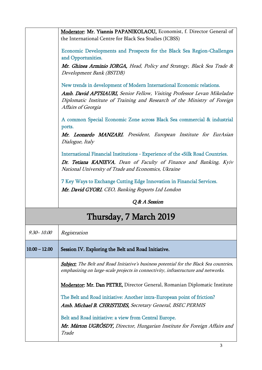|                        | Moderator: Mr. Yiannis PAPANIKOLAOU, Economist, f. Director General of<br>the International Centre for Black Sea Studies (ICBSS)                                                                                                                   |  |
|------------------------|----------------------------------------------------------------------------------------------------------------------------------------------------------------------------------------------------------------------------------------------------|--|
|                        | Economic Developments and Prospects for the Black Sea Region-Challenges<br>and Opportunities.                                                                                                                                                      |  |
|                        | Mr. Ghinea Arminio IORGA, Head, Policy and Strategy, Black Sea Trade &<br>Development Bank (BSTDB)                                                                                                                                                 |  |
|                        | New trends in development of Modern International Economic relations.<br>Amb. David APTSIAURI, Senior Fellow, Visiting Professor Levan Mikeladze<br>Diplomatic Institute of Training and Research of the Ministry of Foreign<br>Affairs of Georgia |  |
|                        | A common Special Economic Zone across Black Sea commercial & industrial<br>ports.                                                                                                                                                                  |  |
|                        | Mr. Leonardo MANZARI, President, European Institute for EurAsian<br>Dialogue, Italy                                                                                                                                                                |  |
|                        | International Financial Institutions - Experience of the «Silk Road Countries.                                                                                                                                                                     |  |
|                        | Dr. Tetiana KANIEVA, Dean of Faculty of Finance and Banking, Kyiv                                                                                                                                                                                  |  |
|                        | National University of Trade and Economics, Ukraine                                                                                                                                                                                                |  |
|                        | 7 Key Ways to Exchange Cutting Edge Innovation in Financial Services.                                                                                                                                                                              |  |
|                        | Mr. David GYORI, CEO, Banking Reports Ltd London                                                                                                                                                                                                   |  |
|                        | Q & A Session                                                                                                                                                                                                                                      |  |
| Thursday, 7 March 2019 |                                                                                                                                                                                                                                                    |  |
| $9.30 - 10.00$         | Registration                                                                                                                                                                                                                                       |  |
| $10.00 - 12.00$        | Session IV. Exploring the Belt and Road Initiative.                                                                                                                                                                                                |  |
|                        | <b>Subject:</b> The Belt and Road Initiative's business potential for the Black Sea countries,<br>emphasizing on large-scale projects in connectivity, infrastructure and networks.                                                                |  |
|                        | <b>Moderator: Mr. Dan PETRE, Director General, Romanian Diplomatic Institute</b>                                                                                                                                                                   |  |
|                        | The Belt and Road initiative: Another intra-European point of friction?                                                                                                                                                                            |  |
|                        | Amb. Michael B. CHRISTIDES, Secretary General, BSEC PERMIS                                                                                                                                                                                         |  |
|                        | Belt and Road initiative: a view from Central Europe.                                                                                                                                                                                              |  |
|                        |                                                                                                                                                                                                                                                    |  |

Trade